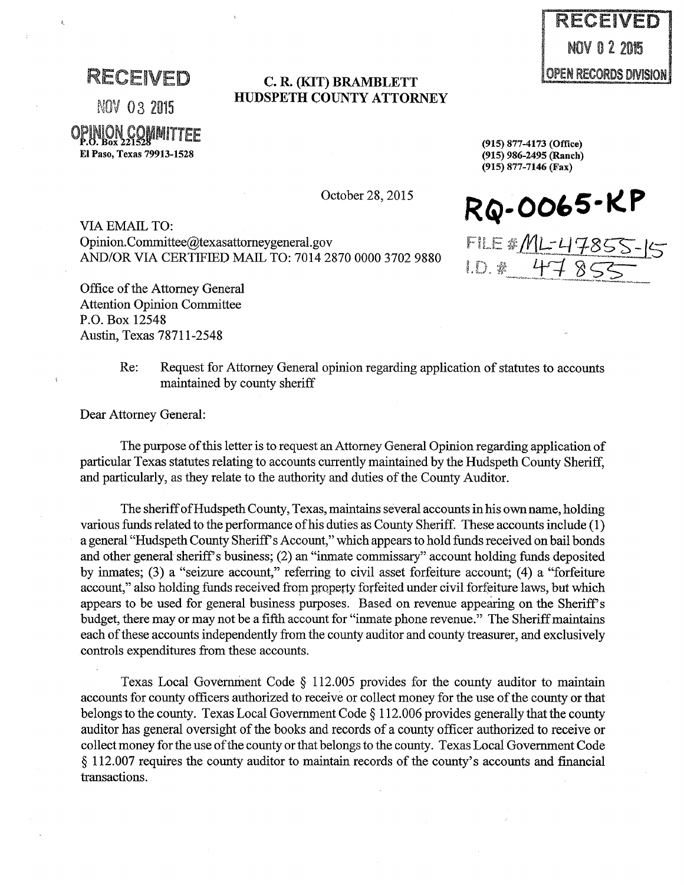RECEIVED

NOV 03 2015

OPINION GOMMITTEE

El Paso, Texas 79913-1528

## **C. R. (KIT) BRAMBLETT HUDSPETH COUNTY ATTORNEY**

(915) 986-2495 (Ranch) (915) 877-7146 (Fax)

(915) 877-4173 (Office)

**RQ-004>5·KP** 

FiLE *it:/Vll:LJ* Cf-8SS-:l\$ 1 11 *;r·,* ·N· *··-..* -·7~-·Q-·r::::::;.=:\_ . 1.D. # 47855

VIA EMAIL TO: Opinion.Committee@texasattorneygeneral.gov AND/OR VIA CERTIFIED MAIL TO: 7014 2870 0000 3702 9880

Office of the Attorney General Attention Opinion Committee P.O. Box 12548 Austin, Texas 78711-2548

> Re: Request for Attorney General opinion regarding application of statutes to accounts maintained by county sheriff

Dear Attorney General:

The purpose of this letter is to request an Attorney General Opinion regarding application of particular Texas statutes relating to accounts currently maintained by the Hudspeth County Sheriff, and particularly, as they relate to the authority and duties of the County Auditor.

The sheriff of Hudspeth County, Texas, maintains several accounts in his own name, holding various funds related to the performance of his duties as County Sheriff. These accounts include (1) a general "Hudspeth County Sheriff's Account," which appears to hold funds received on bail bonds and other general sheriff's business; (2) an "inmate commissary" account holding funds deposited by inmates; (3) a "seizure account," referring to civil asset forfeiture account; (4) a "forfeiture account," also holding funds received from property forfeited under civil forfeiture laws, but which appears to be used for general business purposes. Based on revenue appearing on the Sheriff's budget, there may or may not be a fifth account for "inmate phone revenue." The Sheriff maintains each of these accounts independently from the county auditor and county treasurer, and exclusively controls expenditures from these accounts.

Texas Local Government Code  $\S$  112.005 provides for the county auditor to maintain accounts for county officers authorized to receive or collect money for the use of the county or that belongs to the county. Texas Local Government Code § 112. 006 provides generally that the county auditor has general oversight of the books and records of a county officer authorized to receive or collect money for the use of the county or that belongs to the county. Texas Local Government Code § 112.007 requires the county auditor to maintain records of the county's accounts and financial transactions.

RECEIVED NOV 0 2 2015 OPEN RECORDS DIVISION

October 28, 2015